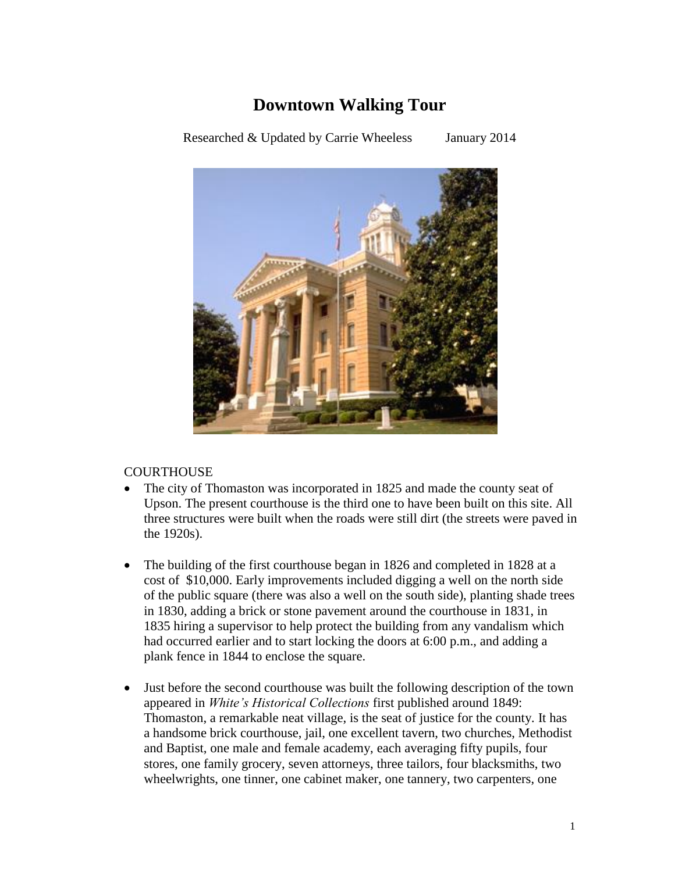### **Downtown Walking Tour**

Researched & Updated by Carrie Wheeless January 2014



### **COURTHOUSE**

- The city of Thomaston was incorporated in 1825 and made the county seat of Upson. The present courthouse is the third one to have been built on this site. All three structures were built when the roads were still dirt (the streets were paved in the 1920s).
- The building of the first courthouse began in 1826 and completed in 1828 at a cost of \$10,000. Early improvements included digging a well on the north side of the public square (there was also a well on the south side), planting shade trees in 1830, adding a brick or stone pavement around the courthouse in 1831, in 1835 hiring a supervisor to help protect the building from any vandalism which had occurred earlier and to start locking the doors at 6:00 p.m., and adding a plank fence in 1844 to enclose the square.
- Just before the second courthouse was built the following description of the town appeared in *White's Historical Collections* first published around 1849: Thomaston, a remarkable neat village, is the seat of justice for the county. It has a handsome brick courthouse, jail, one excellent tavern, two churches, Methodist and Baptist, one male and female academy, each averaging fifty pupils, four stores, one family grocery, seven attorneys, three tailors, four blacksmiths, two wheelwrights, one tinner, one cabinet maker, one tannery, two carpenters, one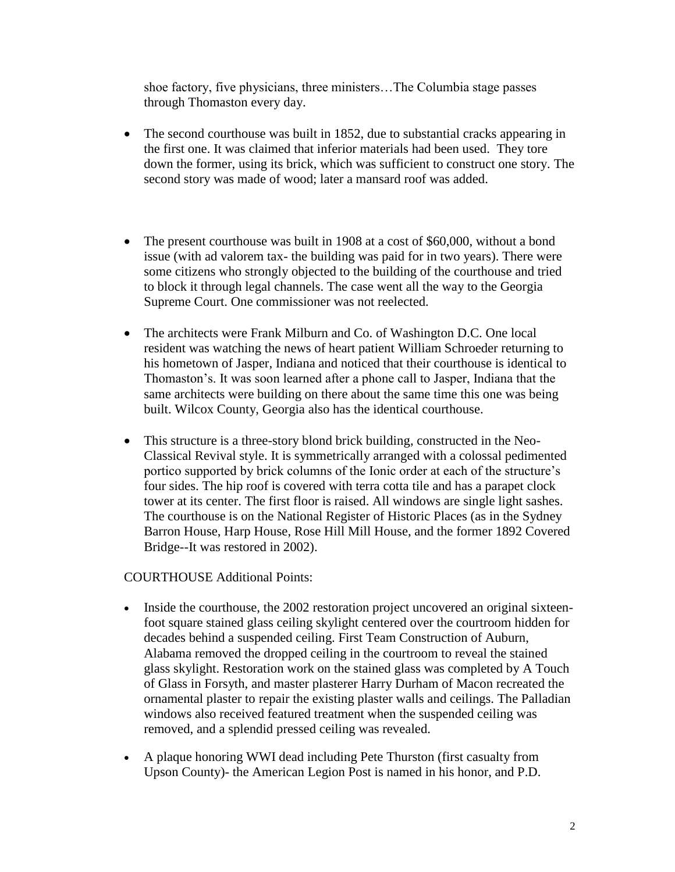shoe factory, five physicians, three ministers…The Columbia stage passes through Thomaston every day.

- The second courthouse was built in 1852, due to substantial cracks appearing in the first one. It was claimed that inferior materials had been used. They tore down the former, using its brick, which was sufficient to construct one story. The second story was made of wood; later a mansard roof was added.
- The present courthouse was built in 1908 at a cost of \$60,000, without a bond issue (with ad valorem tax- the building was paid for in two years). There were some citizens who strongly objected to the building of the courthouse and tried to block it through legal channels. The case went all the way to the Georgia Supreme Court. One commissioner was not reelected.
- The architects were Frank Milburn and Co. of Washington D.C. One local resident was watching the news of heart patient William Schroeder returning to his hometown of Jasper, Indiana and noticed that their courthouse is identical to Thomaston's. It was soon learned after a phone call to Jasper, Indiana that the same architects were building on there about the same time this one was being built. Wilcox County, Georgia also has the identical courthouse.
- This structure is a three-story blond brick building, constructed in the Neo-Classical Revival style. It is symmetrically arranged with a colossal pedimented portico supported by brick columns of the Ionic order at each of the structure's four sides. The hip roof is covered with terra cotta tile and has a parapet clock tower at its center. The first floor is raised. All windows are single light sashes. The courthouse is on the National Register of Historic Places (as in the Sydney Barron House, Harp House, Rose Hill Mill House, and the former 1892 Covered Bridge--It was restored in 2002).

COURTHOUSE Additional Points:

- Inside the courthouse, the 2002 restoration project uncovered an original sixteenfoot square stained glass ceiling skylight centered over the courtroom hidden for decades behind a suspended ceiling. First Team Construction of Auburn, Alabama removed the dropped ceiling in the courtroom to reveal the stained glass skylight. Restoration work on the stained glass was completed by A Touch of Glass in Forsyth, and master plasterer Harry Durham of Macon recreated the ornamental plaster to repair the existing plaster walls and ceilings. The Palladian windows also received featured treatment when the suspended ceiling was removed, and a splendid pressed ceiling was revealed.
- A plaque honoring WWI dead including Pete Thurston (first casualty from Upson County)- the American Legion Post is named in his honor, and P.D.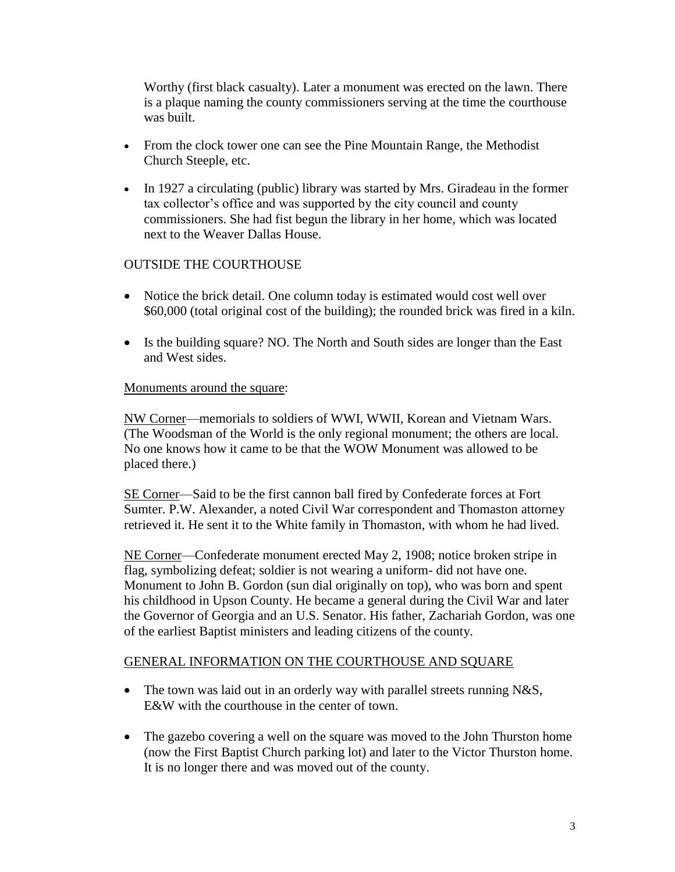Worthy (first black casualty). Later a monument was erected on the lawn. There is a plaque naming the county commissioners serving at the time the courthouse was built.

- From the clock tower one can see the Pine Mountain Range, the Methodist Church Steeple, etc.
- In 1927 a circulating (public) library was started by Mrs. Giradeau in the former tax collector's office and was supported by the city council and county commissioners. She had fist begun the library in her home, which was located next to the Weaver Dallas House.

### OUTSIDE THE COURTHOUSE

- Notice the brick detail. One column today is estimated would cost well over \$60,000 (total original cost of the building); the rounded brick was fired in a kiln.
- Is the building square? NO. The North and South sides are longer than the East and West sides.

#### Monuments around the square:

NW Corner—memorials to soldiers of WWI, WWII, Korean and Vietnam Wars. (The Woodsman of the World is the only regional monument; the others are local. No one knows how it came to be that the WOW Monument was allowed to be placed there.)

SE Corner—Said to be the first cannon ball fired by Confederate forces at Fort Sumter. P.W. Alexander, a noted Civil War correspondent and Thomaston attorney retrieved it. He sent it to the White family in Thomaston, with whom he had lived.

NE Corner—Confederate monument erected May 2, 1908; notice broken stripe in flag, symbolizing defeat; soldier is not wearing a uniform- did not have one. Monument to John B. Gordon (sun dial originally on top), who was born and spent his childhood in Upson County. He became a general during the Civil War and later the Governor of Georgia and an U.S. Senator. His father, Zachariah Gordon, was one of the earliest Baptist ministers and leading citizens of the county.

#### GENERAL INFORMATION ON THE COURTHOUSE AND SOUARE

- The town was laid out in an orderly way with parallel streets running N&S, E&W with the courthouse in the center of town.
- The gazebo covering a well on the square was moved to the John Thurston home (now the First Baptist Church parking lot) and later to the Victor Thurston home. It is no longer there and was moved out of the county.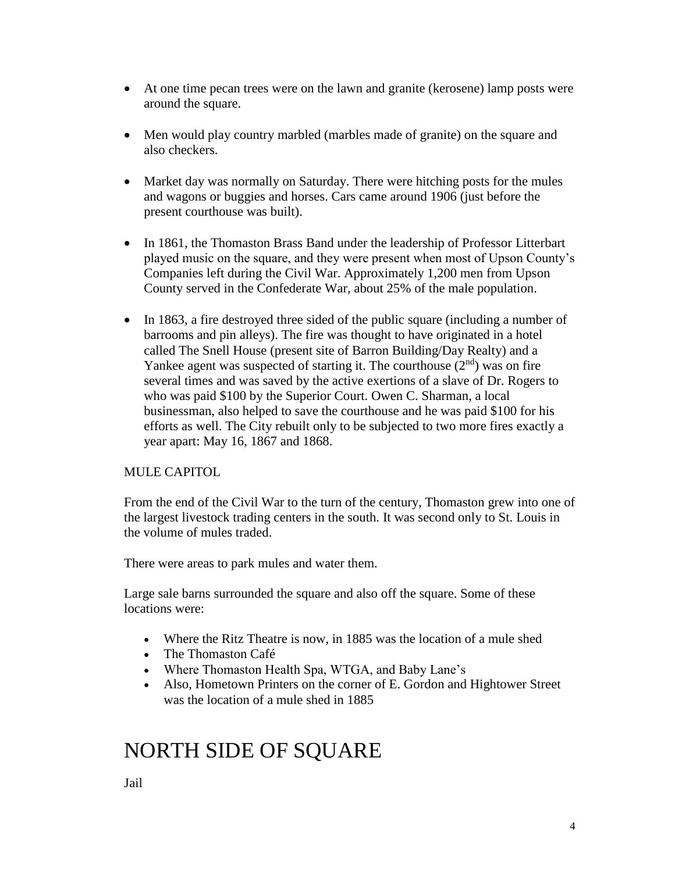- At one time pecan trees were on the lawn and granite (kerosene) lamp posts were around the square.
- Men would play country marbled (marbles made of granite) on the square and also checkers.
- Market day was normally on Saturday. There were hitching posts for the mules and wagons or buggies and horses. Cars came around 1906 (just before the present courthouse was built).
- In 1861, the Thomaston Brass Band under the leadership of Professor Litterbart played music on the square, and they were present when most of Upson County's Companies left during the Civil War. Approximately 1,200 men from Upson County served in the Confederate War, about 25% of the male population.
- In 1863, a fire destroyed three sided of the public square (including a number of barrooms and pin alleys). The fire was thought to have originated in a hotel called The Snell House (present site of Barron Building/Day Realty) and a Yankee agent was suspected of starting it. The courthouse  $(2<sup>nd</sup>)$  was on fire several times and was saved by the active exertions of a slave of Dr. Rogers to who was paid \$100 by the Superior Court. Owen C. Sharman, a local businessman, also helped to save the courthouse and he was paid \$100 for his efforts as well. The City rebuilt only to be subjected to two more fires exactly a year apart: May 16, 1867 and 1868.

### MULE CAPITOL

From the end of the Civil War to the turn of the century, Thomaston grew into one of the largest livestock trading centers in the south. It was second only to St. Louis in the volume of mules traded.

There were areas to park mules and water them.

Large sale barns surrounded the square and also off the square. Some of these locations were:

- Where the Ritz Theatre is now, in 1885 was the location of a mule shed
- The Thomaston Café
- Where Thomaston Health Spa, WTGA, and Baby Lane's
- Also, Hometown Printers on the corner of E. Gordon and Hightower Street was the location of a mule shed in 1885

## NORTH SIDE OF SQUARE

Jail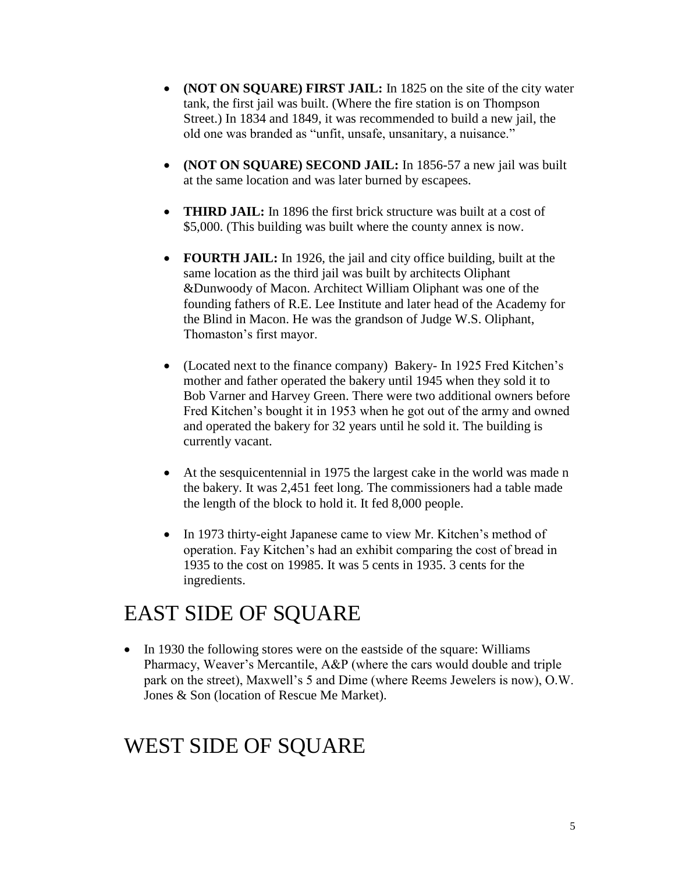- **(NOT ON SQUARE) FIRST JAIL:** In 1825 on the site of the city water tank, the first jail was built. (Where the fire station is on Thompson Street.) In 1834 and 1849, it was recommended to build a new jail, the old one was branded as "unfit, unsafe, unsanitary, a nuisance."
- **(NOT ON SQUARE) SECOND JAIL:** In 1856-57 a new jail was built at the same location and was later burned by escapees.
- **THIRD JAIL:** In 1896 the first brick structure was built at a cost of \$5,000. (This building was built where the county annex is now.
- **FOURTH JAIL:** In 1926, the jail and city office building, built at the same location as the third jail was built by architects Oliphant &Dunwoody of Macon. Architect William Oliphant was one of the founding fathers of R.E. Lee Institute and later head of the Academy for the Blind in Macon. He was the grandson of Judge W.S. Oliphant, Thomaston's first mayor.
- (Located next to the finance company) Bakery- In 1925 Fred Kitchen's mother and father operated the bakery until 1945 when they sold it to Bob Varner and Harvey Green. There were two additional owners before Fred Kitchen's bought it in 1953 when he got out of the army and owned and operated the bakery for 32 years until he sold it. The building is currently vacant.
- At the sesquicentennial in 1975 the largest cake in the world was made n the bakery. It was 2,451 feet long. The commissioners had a table made the length of the block to hold it. It fed 8,000 people.
- In 1973 thirty-eight Japanese came to view Mr. Kitchen's method of operation. Fay Kitchen's had an exhibit comparing the cost of bread in 1935 to the cost on 19985. It was 5 cents in 1935. 3 cents for the ingredients.

## EAST SIDE OF SQUARE

• In 1930 the following stores were on the eastside of the square: Williams Pharmacy, Weaver's Mercantile, A&P (where the cars would double and triple park on the street), Maxwell's 5 and Dime (where Reems Jewelers is now), O.W. Jones & Son (location of Rescue Me Market).

## WEST SIDE OF SQUARE